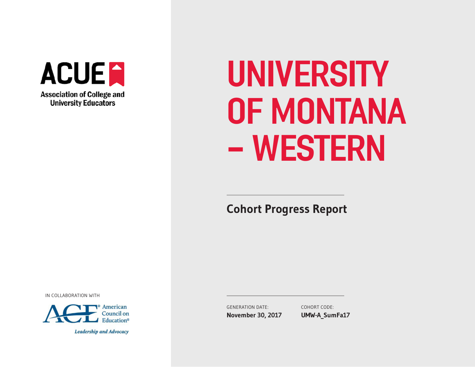

# UNIVERSITY OF MONTANA - WESTERN

**Cohort Progress Report** 

IN COLLABORATION WITH



**Leadership and Advocacy** 

GENERATION DATE: **November 30, 2017** COHORT CODE: **UMW-A\_SumFa17**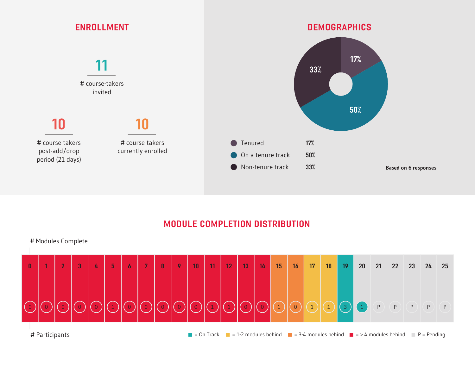

## MODULE COMPLETION DISTRIBUTION

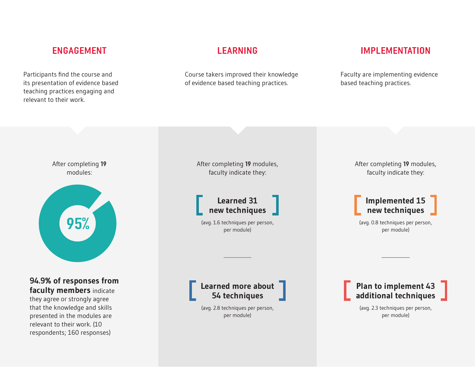Participants fnd the course and its presentation of evidence based teaching practices engaging and relevant to their work.

Course takers improved their knowledge of evidence based teaching practices.

# ENGAGEMENT LEARNING IMPLEMENTATION

Faculty are implementing evidence based teaching practices.